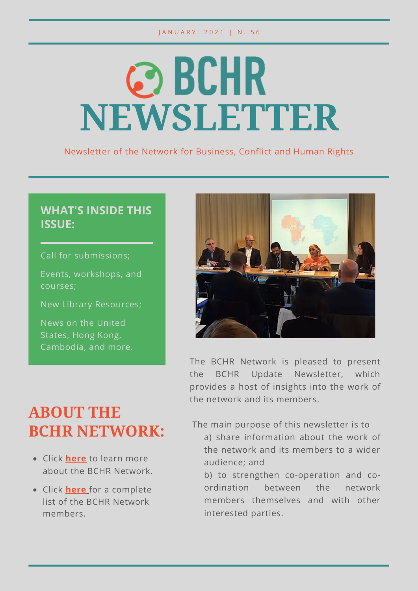#### J A N U A R Y . 2 0 2 1 | N . 5 6

# **@BCHR NEWSLETTER**

Newsletter of the Network for Business, Conflict and Human Rights

### **WHAT'S INSIDE THIS ISSUE:**

Call for submissions;

Events, workshops, and courses;

New Library Resources;

News on the United States, Hong Kong, Cambodia, and more.



The BCHR Network is pleased to present the BCHR Update Newsletter, which provides a host of insights into the work of the network and its members.

## **ABOUT THE BCHR NETWORK:**

- Click **[here](https://www.networkbchr.org/)** to learn more about the BCHR Network.
- Click **[here](https://f998e6ff-677d-4bc8-acec-99f1a281683a.filesusr.com/ugd/e6086f_51bb4cc961934dda90353e65cc8e44d6.pdf)** [f](https://f998e6ff-677d-4bc8-acec-99f1a281683a.filesusr.com/ugd/e6086f_51bb4cc961934dda90353e65cc8e44d6.pdf)or a complete list of the BCHR Network members.

The main purpose of this newsletter is to

a) share information about the work of the network and its members to a wider audience; and

b) to strengthen co-operation and coordination between the network members themselves and with other interested parties.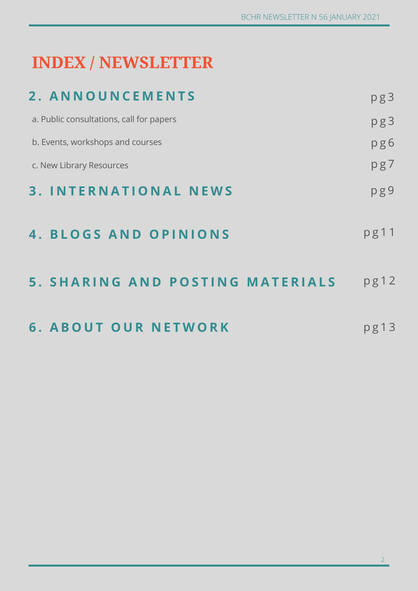# **INDEX / NEWSLETTER**

| 2. ANNOUNCEMENTS                         | pg3  |
|------------------------------------------|------|
| a. Public consultations, call for papers | pg3  |
| b. Events, workshops and courses         | pg6  |
| c. New Library Resources                 | pg7  |
| <b>3. INTERNATIONAL NEWS</b>             | pg9  |
| 4. BLOGS AND OPINIONS                    | pg11 |
| <b>5. SHARING AND POSTING MATERIALS</b>  | pg12 |
| <b>6. ABOUT OUR NETWORK</b>              | pg13 |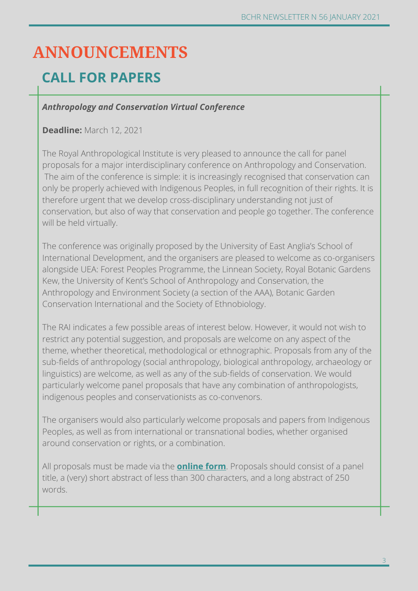## **ANNOUNCEMENTS**

### **CALL FOR PAPERS**

### *Anthropology and Conservation Virtual Conference*

### **Deadline:** March 12, 2021

The Royal Anthropological Institute is very pleased to announce the call for panel proposals for a major interdisciplinary conference on Anthropology and Conservation. The aim of the conference is simple: it is increasingly recognised that conservation can only be properly achieved with Indigenous Peoples, in full recognition of their rights. It is therefore urgent that we develop cross-disciplinary understanding not just of conservation, but also of way that conservation and people go together. The conference will be held virtually.

The conference was originally proposed by the University of East Anglia's School of International Development, and the organisers are pleased to welcome as co-organisers alongside UEA: Forest Peoples Programme, the Linnean Society, Royal Botanic Gardens Kew, the University of Kent's School of Anthropology and Conservation, the Anthropology and Environment Society (a section of the AAA), Botanic Garden Conservation International and the Society of Ethnobiology.

The RAI indicates a few possible areas of interest below. However, it would not wish to restrict any potential suggestion, and proposals are welcome on any aspect of the theme, whether theoretical, methodological or ethnographic. Proposals from any of the sub-fields of anthropology (social anthropology, biological anthropology, archaeology or linguistics) are welcome, as well as any of the sub-fields of conservation. We would particularly welcome panel proposals that have any combination of anthropologists, indigenous peoples and conservationists as co-convenors.

The organisers would also particularly welcome proposals and papers from Indigenous Peoples, as well as from international or transnational bodies, whether organised around conservation or rights, or a combination.

All proposals must be made via the **[online form](https://nomadit.co.uk/account/contact/login)**. Proposals should consist of a panel title, a (very) short abstract of less than 300 characters, and a long abstract of 250 words.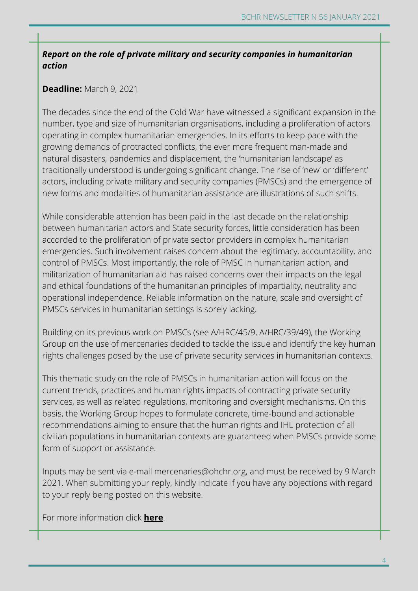### *Report on the role of private military and security companies in humanitarian action*

### **Deadline:** March 9, 2021

The decades since the end of the Cold War have witnessed a significant expansion in the number, type and size of humanitarian organisations, including a proliferation of actors operating in complex humanitarian emergencies. In its efforts to keep pace with the growing demands of protracted conflicts, the ever more frequent man-made and natural disasters, pandemics and displacement, the 'humanitarian landscape' as traditionally understood is undergoing significant change. The rise of 'new' or 'different' actors, including private military and security companies (PMSCs) and the emergence of new forms and modalities of humanitarian assistance are illustrations of such shifts.

While considerable attention has been paid in the last decade on the relationship between humanitarian actors and State security forces, little consideration has been accorded to the proliferation of private sector providers in complex humanitarian emergencies. Such involvement raises concern about the legitimacy, accountability, and control of PMSCs. Most importantly, the role of PMSC in humanitarian action, and militarization of humanitarian aid has raised concerns over their impacts on the legal and ethical foundations of the humanitarian principles of impartiality, neutrality and operational independence. Reliable information on the nature, scale and oversight of PMSCs services in humanitarian settings is sorely lacking.

Building on its previous work on PMSCs (see A/HRC/45/9, A/HRC/39/49), the Working Group on the use of mercenaries decided to tackle the issue and identify the key human rights challenges posed by the use of private security services in humanitarian contexts.

This thematic study on the role of PMSCs in humanitarian action will focus on the current trends, practices and human rights impacts of contracting private security services, as well as related regulations, monitoring and oversight mechanisms. On this basis, the Working Group hopes to formulate concrete, time-bound and actionable recommendations aiming to ensure that the human rights and IHL protection of all civilian populations in humanitarian contexts are guaranteed when PMSCs provide some form of support or assistance.

Inputs may be sent via e-mail mercenaries@ohchr.org, and must be received by 9 March 2021. When submitting your reply, kindly indicate if you have any objections with regard to your reply being posted on this website.

For more information click **[here](https://www.ohchr.org/EN/Issues/Mercenaries/WGMercenaries/Pages/report-pmsc-humanitarian-action-2021.aspx)**.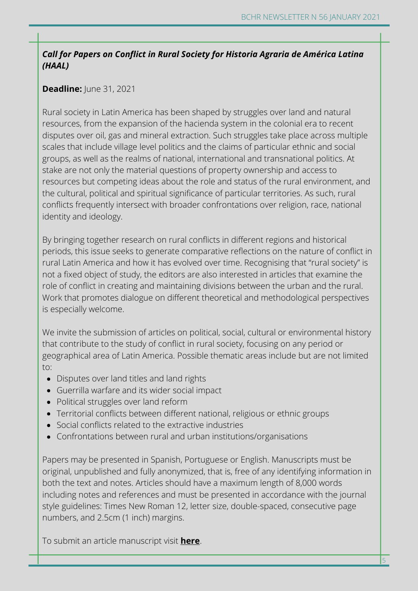### *Call for Papers on Conflict in Rural Society for Historia Agraria de América Latina (HAAL)*

### **Deadline:** June 31, 2021

Rural society in Latin America has been shaped by struggles over land and natural resources, from the expansion of the hacienda system in the colonial era to recent disputes over oil, gas and mineral extraction. Such struggles take place across multiple scales that include village level politics and the claims of particular ethnic and social groups, as well as the realms of national, international and transnational politics. At stake are not only the material questions of property ownership and access to resources but competing ideas about the role and status of the rural environment, and the cultural, political and spiritual significance of particular territories. As such, rural conflicts frequently intersect with broader confrontations over religion, race, national identity and ideology.

By bringing together research on rural conflicts in different regions and historical periods, this issue seeks to generate comparative reflections on the nature of conflict in rural Latin America and how it has evolved over time. Recognising that "rural society" is not a fixed object of study, the editors are also interested in articles that examine the role of conflict in creating and maintaining divisions between the urban and the rural. Work that promotes dialogue on different theoretical and methodological perspectives is especially welcome.

We invite the submission of articles on political, social, cultural or environmental history that contribute to the study of conflict in rural society, focusing on any period or geographical area of Latin America. Possible thematic areas include but are not limited to:

- Disputes over land titles and land rights
- Guerrilla warfare and its wider social impact
- Political struggles over land reform
- Territorial conflicts between different national, religious or ethnic groups
- Social conflicts related to the extractive industries
- Confrontations between rural and urban institutions/organisations

Papers may be presented in Spanish, Portuguese or English. Manuscripts must be original, unpublished and fully anonymized, that is, free of any identifying information in both the text and notes. Articles should have a maximum length of 8,000 words including notes and references and must be presented in accordance with the journal style guidelines: Times New Roman 12, letter size, double-spaced, consecutive page numbers, and 2.5cm (1 inch) margins.

To submit an article manuscript visit **[here](https://networks.h-net.org/node/73374/announcements/7202112/call-papers-conflict-rural-society-historia-agraria-de-am%C3%A9rica)**.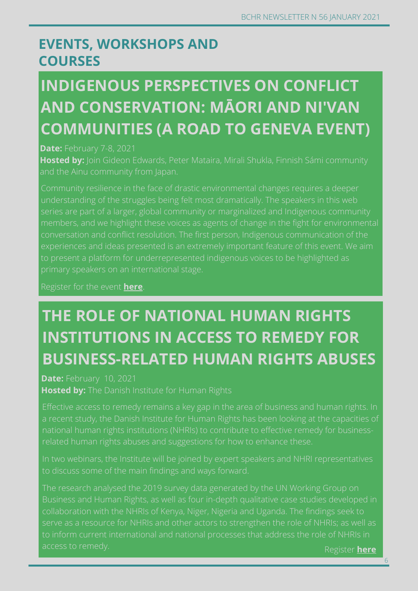### **EVENTS, WORKSHOPS AND COURSES**

# **INDIGENOUS PERSPECTIVES ON CONFLICT AND CONSERVATION: MĀORI AND NI'VAN COMMUNITIES (A ROAD TO GENEVA EVENT)**

### **Date:** February 7-8, 2021

**Hosted by:** Join Gideon Edwards, Peter Mataira, Mirali Shukla, Finnish Sámi community

Community resilience in the face of drastic environmental changes requires a deeper understanding of the struggles being felt most dramatically. The speakers in this web to present a platform for underrepresented indigenous voices to be highlighted as

Register for the event **[here](https://us02web.zoom.us/webinar/register/WN_Gnatgaq4RleEsZsc2rgr-g)**.

# **THE ROLE OF NATIONAL HUMAN RIGHTS INSTITUTIONS IN ACCESS TO REMEDY FOR BUSINESS-RELATED HUMAN RIGHTS ABUSES**

**Date:** February 10, 2021 **Hosted by:** The Danish Institute for Human Rights

a recent study, the Danish Institute for Human Rights has been looking at the capacities of related human rights abuses and suggestions for how to enhance these.

The research analysed the 2019 survey data generated by the UN Working Group on

Register **[here](https://www.humanrights.dk/events/webinar-i-role-national-human-rights-institutions-access-remedy-business-related-human)**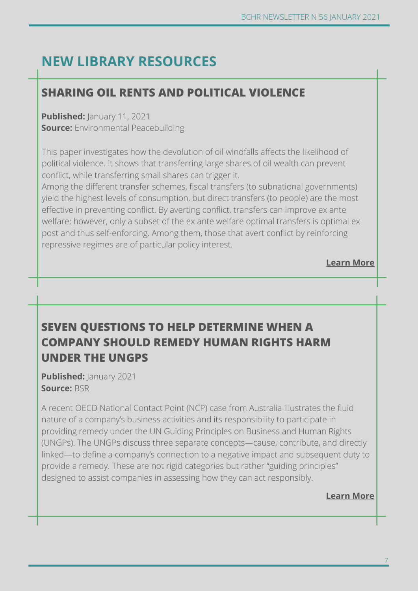### **NEW LIBRARY RESOURCES**

#### **[Learn](https://www.cityu.edu.hk/slw/lib/doc/HRLF/20200730_(Roundtable_Series_on_NSL)_NSL_on_BHR.pdf) more SHARING OIL RENTS AND POLITICAL VIOLENCE**

**Published:** January 11, 2021 **Source:** Environmental Peacebuilding

This paper investigates how the devolution of oil windfalls affects the likelihood of political violence. It shows that transferring large shares of oil wealth can prevent conflict, while transferring small shares can trigger it.

Among the different transfer schemes, fiscal transfers (to subnational governments) yield the highest levels of consumption, but direct transfers (to people) are the most effective in preventing conflict. By averting conflict, transfers can improve ex ante welfare; however, only a subset of the ex ante welfare optimal transfers is optimal ex post and thus self-enforcing. Among them, those that avert conflict by reinforcing repressive regimes are of particular policy interest.

**[Learn More](https://www.sciencedirect.com/science/article/abs/pii/S0176268020300306)**

### **SEVEN QUESTIONS TO HELP DETERMINE WHEN A COMPANY SHOULD REMEDY HUMAN RIGHTS HARM UNDER THE UNGPS**

**Published:** January 2021 **Source:** BSR

A recent OECD National Contact Point (NCP) case from Australia illustrates the fluid nature of a company's business activities and its responsibility to participate in providing remedy under the UN Guiding Principles on Business and Human Rights (UNGPs). The UNGPs discuss three separate concepts—cause, contribute, and directly linked—to define a company's connection to a negative impact and subsequent duty to provide a remedy. These are not rigid categories but rather "guiding principles" designed to assist companies in assessing how they can act responsibly.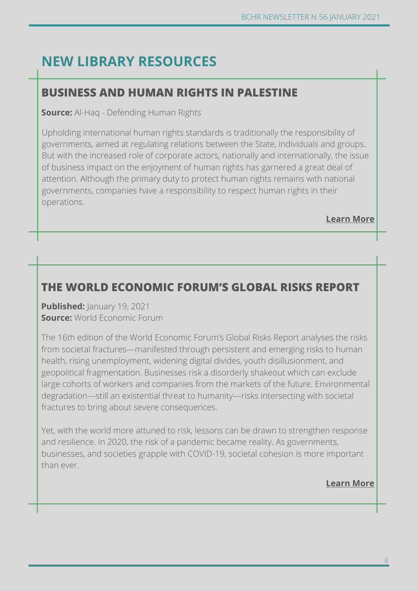### **NEW LIBRARY RESOURCES**

### **BUSINESS AND HUMAN RIGHTS IN PALESTINE**

**Source:** Al-Haq - Defending Human Rights

Upholding international human rights standards is traditionally the responsibility of governments, aimed at regulating relations between the State, individuals and groups. But with the increased role of corporate actors, nationally and internationally, the issue of business impact on the enjoyment of human rights has garnered a great deal of attention. Although the primary duty to protect human rights remains with national governments, companies have a responsibility to respect human rights in their operations.

**[Learn More](https://www.alhaq.org/cached_uploads/download/alhaq_files/publications/Business%20and%20Human%20Rights%20Booklet.pdf)**

### **THE WORLD ECONOMIC FORUM'S GLOBAL RISKS REPORT**

**Published:** January 19, 2021 **Source:** World Economic Forum

The 16th edition of the World Economic Forum's Global Risks Report analyses the risks from societal fractures—manifested through persistent and emerging risks to human health, rising unemployment, widening digital divides, youth disillusionment, and geopolitical fragmentation. Businesses risk a disorderly shakeout which can exclude large cohorts of workers and companies from the markets of the future. Environmental degradation—still an existential threat to humanity—risks intersecting with societal fractures to bring about severe consequences.

Yet, with the world more attuned to risk, lessons can be drawn to strengthen response and resilience. In 2020, the risk of a pandemic became reality. As governments, businesses, and societies grapple with COVID-19, societal cohesion is more important than ever.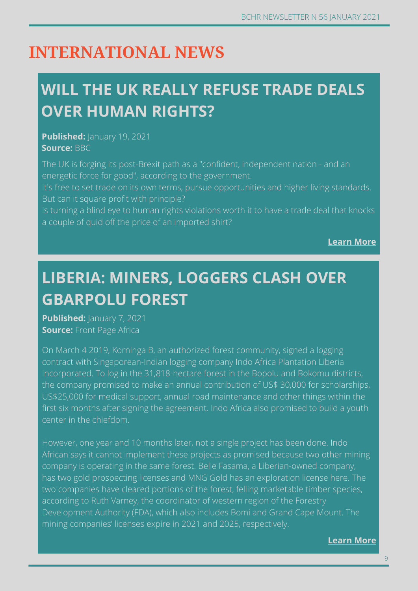# **INTERNATIONAL NEWS**

# **WILL THE UK REALLY REFUSE TRADE DEALS OVER HUMAN RIGHTS?**

**Published:** *January* **19, 2021 Source:** BBC

The UK is forging its post-Brexit path as a "confident, independent nation - and an energetic force for good", according to the government.

It's free to set trade on its own terms, pursue opportunities and higher living standards. But can it square profit with principle?

Is turning a blind eye to human rights violations worth it to have a trade deal that knocks a couple of quid off the price of an imported shirt?

**[Learn More](https://www.bbc.com/news/business-55664039)**

# **LIBERIA: MINERS, LOGGERS CLASH OVER GBARPOLU FOREST**

**Published:** *January 7, 2021* **Source:** Front Page Africa

On March 4 2019, Korninga B, an authorized forest community, signed a logging contract with Singaporean-Indian logging company Indo Africa Plantation Liberia Incorporated. To log in the 31,818-hectare forest in the Bopolu and Bokomu districts, the company promised to make an annual contribution of US\$ 30,000 for scholarships, US\$25,000 for medical support, annual road maintenance and other things within the first six months after signing the agreement. Indo Africa also promised to build a youth center in the chiefdom.

**[Learn](https://www.wsj.com/articles/israel-and-u-a-e-get-down-to-business-11598035520) more** Development Authority (FDA), which also includes Bomi and Grand Cape Mount. The However, one year and 10 months later, not a single project has been done. Indo African says it cannot implement these projects as promised because two other mining company is operating in the same forest. Belle Fasama, a Liberian-owned company, has two gold prospecting licenses and MNG Gold has an exploration license here. The two companies have cleared portions of the forest, felling marketable timber species, according to Ruth Varney, the coordinator of western region of the Forestry mining companies' licenses expire in 2021 and 2025, respectively.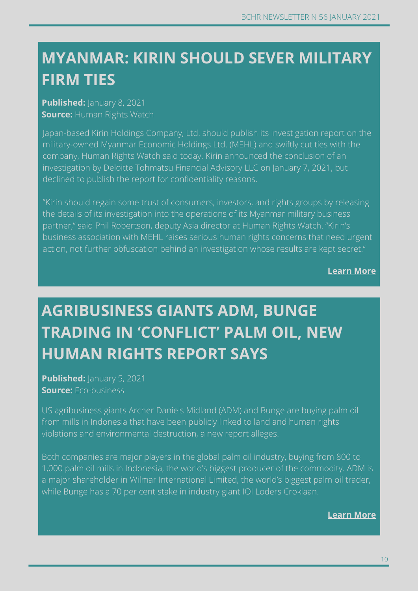# **CAMBODIA: COVID-19 OUTBREAK RAISES SERIOUS FIRM TIES MYANMAR: KIRIN SHOULD SEVER MILITARY**

**Concerns of the concerns of the concerns of the concerns of the concerns of the concerns of the concerns of the concerns of the concerns of the concerns of the concerns of the concerns of the concerns of the concerns of t Published:** January 8, 2021 **Source:** Human Rights Watch

Japan-based Kirin Holdings Company, Ltd. should publish its investigation report on the military-owned Myanmar Economic Holdings Ltd. (MEHL) and swiftly cut ties with the company, Human Rights Watch said today. Kirin announced the conclusion of an investigation by Deloitte Tohmatsu Financial Advisory LLC on January 7, 2021, but declined to publish the report for confidentiality reasons.

"Kirin should regain some trust of consumers, investors, and rights groups by releasing the details of its investigation into the operations of its Myanmar military business partner," said Phil Robertson, deputy Asia director at Human Rights Watch. "Kirin's business association with MEHL raises serious human rights concerns that need urgent action, not further obfuscation behind an investigation whose results are kept secret."

**Learn more [Learn More](https://www.hrw.org/news/2021/01/09/myanmar-kirin-should-sever-military-firm-ties)**

# **AGRIBUSINESS GIANTS ADM, BUNGE TRADING IN 'CONFLICT' PALM OIL, NEW HUMAN RIGHTS REPORT SAYS**

**Published:** January 5, 2021 **Source:** Eco-business

US agribusiness giants Archer Daniels Midland (ADM) and Bunge are buying palm oil from mills in Indonesia that have been publicly linked to land and human rights violations and environmental destruction, a new report alleges.

Both companies are major players in the global palm oil industry, buying from 800 to 1,000 palm oil mills in Indonesia, the world's biggest producer of the commodity. ADM is a major shareholder in Wilmar International Limited, the world's biggest palm oil trader, while Bunge has a 70 per cent stake in industry giant IOI Loders Croklaan.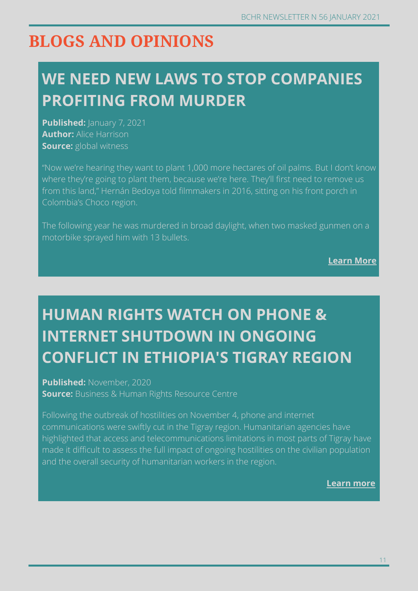## **BLOGS AND OPINIONS**

# **WE NEED NEW LAWS TO STOP COMPANIES PROFITING FROM MURDER**

**Published:** January 7, 2021 **Author:** Alice Harrison **Source:** global witness

"Now we're hearing they want to plant 1,000 more hectares of oil palms. But I don't know where they're going to plant them, because we're here. They'll first need to remove us from this land," Hernán Bedoya told filmmakers in 2016, sitting on his front porch in Colombia's Choco region.

The following year he was murdered in broad daylight, when two masked gunmen on a motorbike sprayed him with 13 bullets.

**[Learn More](https://www.globalwitness.org/en/blog/we-need-new-laws-stop-companies-profiting-murder/)**

# **HUMAN RIGHTS WATCH ON PHONE & INTERNET SHUTDOWN IN ONGOING CONFLICT IN ETHIOPIA'S TIGRAY REGION**

**Published:** November, 2020 **Source:** Business & Human Rights Resource Centre

Following the outbreak of hostilities on November 4, phone and internet communications were swiftly cut in the Tigray region. Humanitarian agencies have highlighted that access and telecommunications limitations in most parts of Tigray have made it difficult to assess the full impact of ongoing hostilities on the civilian population and the overall security of humanitarian workers in the region.

**[Learn](https://www.business-humanrights.org/en/latest-news/opinion-human-rights-watch-on-phone-internet-shutdown-in-ongoing-conflict-in-ethiopias-tirgray-region/) more**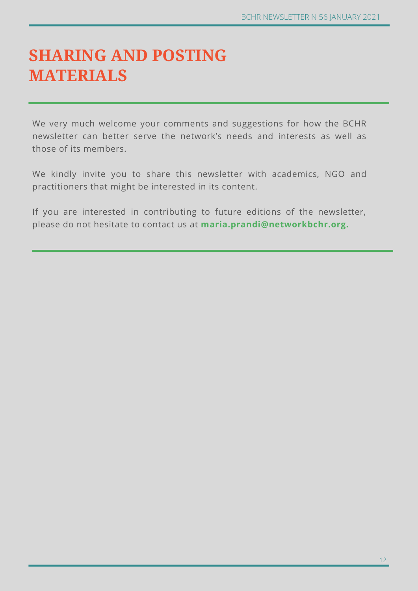# **SHARING AND POSTING MATERIALS**

We very much welcome your comments and suggestions for how the BCHR newsletter can better serve the network's needs and interests as well as those of its members.

We kindly invite you to share this newsletter with academics, NGO and practitioners that might be interested in its content.

If you are interested in contributing to future editions of the newsletter, please do not hesitate to contact us at **maria.prandi@networkbchr.org.**